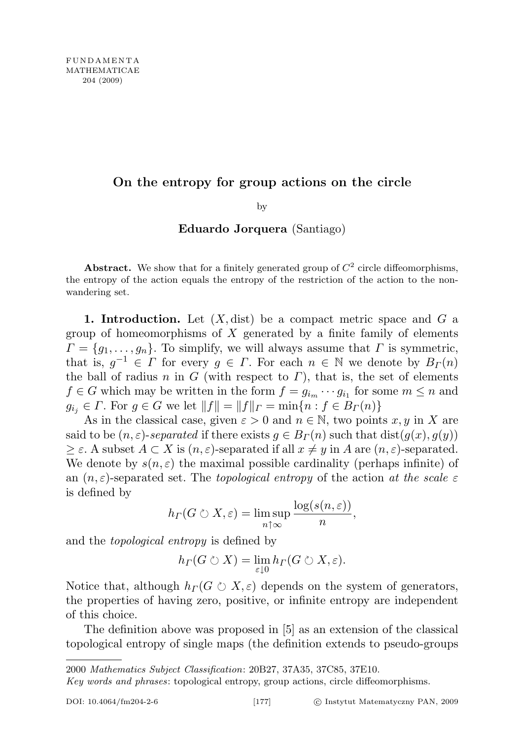# On the entropy for group actions on the circle

by

### Eduardo Jorquera (Santiago)

Abstract. We show that for a finitely generated group of  $C^2$  circle diffeomorphisms, the entropy of the action equals the entropy of the restriction of the action to the nonwandering set.

1. Introduction. Let  $(X, dist)$  be a compact metric space and  $G$  a group of homeomorphisms of  $X$  generated by a finite family of elements  $\Gamma = \{g_1, \ldots, g_n\}.$  To simplify, we will always assume that  $\Gamma$  is symmetric, that is,  $g^{-1} \in \Gamma$  for every  $g \in \Gamma$ . For each  $n \in \mathbb{N}$  we denote by  $B_{\Gamma}(n)$ the ball of radius n in G (with respect to  $\Gamma$ ), that is, the set of elements  $f \in G$  which may be written in the form  $f = g_{i_m} \cdots g_{i_1}$  for some  $m \leq n$  and  $g_{i,j} \in \Gamma$ . For  $g \in G$  we let  $||f|| = ||f||_{\Gamma} = \min\{n : f \in B_{\Gamma}(n)\}\$ 

As in the classical case, given  $\varepsilon > 0$  and  $n \in \mathbb{N}$ , two points x, y in X are said to be  $(n, \varepsilon)$ -separated if there exists  $g \in B<sub>\Gamma</sub>(n)$  such that  $dist(g(x), g(y))$  $\geq \varepsilon$ . A subset  $A \subset X$  is  $(n, \varepsilon)$ -separated if all  $x \neq y$  in A are  $(n, \varepsilon)$ -separated. We denote by  $s(n, \varepsilon)$  the maximal possible cardinality (perhaps infinite) of an  $(n, \varepsilon)$ -separated set. The topological entropy of the action at the scale  $\varepsilon$ is defined by

$$
h_{\Gamma}(G \circlearrowright X, \varepsilon) = \limsup_{n \uparrow \infty} \frac{\log(s(n, \varepsilon))}{n},
$$

and the topological entropy is defined by

$$
h_{\Gamma}(G \circlearrowright X) = \lim_{\varepsilon \downarrow 0} h_{\Gamma}(G \circlearrowright X, \varepsilon).
$$

Notice that, although  $h_{\Gamma}(G \circ X, \varepsilon)$  depends on the system of generators, the properties of having zero, positive, or infinite entropy are independent of this choice.

The definition above was proposed in [5] as an extension of the classical topological entropy of single maps (the definition extends to pseudo-groups

2000 Mathematics Subject Classification: 20B27, 37A35, 37C85, 37E10.

Key words and phrases: topological entropy, group actions, circle diffeomorphisms.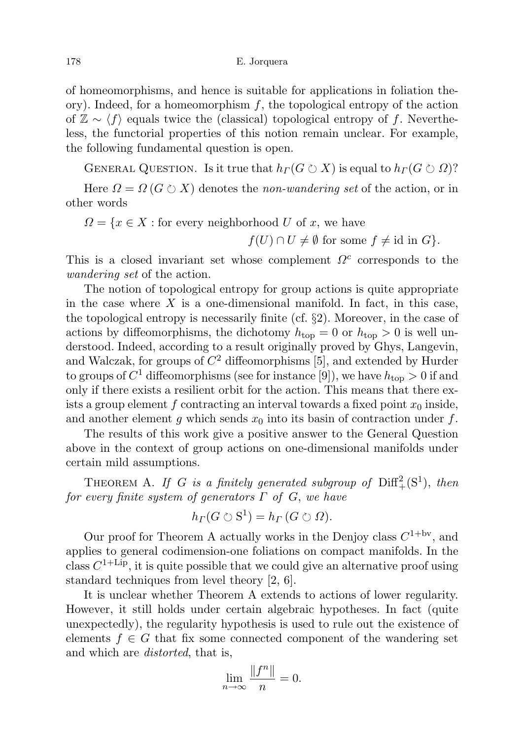of homeomorphisms, and hence is suitable for applications in foliation theory). Indeed, for a homeomorphism  $f$ , the topological entropy of the action of  $\mathbb{Z} \sim \langle f \rangle$  equals twice the (classical) topological entropy of f. Nevertheless, the functorial properties of this notion remain unclear. For example, the following fundamental question is open.

GENERAL QUESTION. Is it true that  $h<sub>\Gamma</sub>(G \circlearrowright X)$  is equal to  $h<sub>\Gamma</sub>(G \circlearrowright \Omega)$ ?

Here  $\Omega = \Omega(G \circ X)$  denotes the *non-wandering set* of the action, or in other words

$$
\Omega = \{ x \in X : \text{for every neighborhood } U \text{ of } x, \text{ we have}
$$

 $f(U) \cap U \neq \emptyset$  for some  $f \neq id$  in  $G$ .

This is a closed invariant set whose complement  $\Omega^c$  corresponds to the wandering set of the action.

The notion of topological entropy for group actions is quite appropriate in the case where  $X$  is a one-dimensional manifold. In fact, in this case, the topological entropy is necessarily finite (cf. §2). Moreover, in the case of actions by diffeomorphisms, the dichotomy  $h_{\text{top}} = 0$  or  $h_{\text{top}} > 0$  is well understood. Indeed, according to a result originally proved by Ghys, Langevin, and Walczak, for groups of  $C^2$  diffeomorphisms [5], and extended by Hurder to groups of  $C^1$  diffeomorphisms (see for instance [9]), we have  $h_{\text{top}} > 0$  if and only if there exists a resilient orbit for the action. This means that there exists a group element f contracting an interval towards a fixed point  $x_0$  inside, and another element g which sends  $x_0$  into its basin of contraction under f.

The results of this work give a positive answer to the General Question above in the context of group actions on one-dimensional manifolds under certain mild assumptions.

THEOREM A. If G is a finitely generated subgroup of  $\text{Diff}^2_+(\text{S}^1)$ , then for every finite system of generators  $\Gamma$  of  $G$ , we have

$$
h_{\Gamma}(G \circlearrowright S^1) = h_{\Gamma}(G \circlearrowright \Omega).
$$

Our proof for Theorem A actually works in the Denjoy class  $C^{1+6v}$ , and applies to general codimension-one foliations on compact manifolds. In the class  $C^{1+\text{Lip}}$ , it is quite possible that we could give an alternative proof using standard techniques from level theory [2, 6].

It is unclear whether Theorem A extends to actions of lower regularity. However, it still holds under certain algebraic hypotheses. In fact (quite unexpectedly), the regularity hypothesis is used to rule out the existence of elements  $f \in G$  that fix some connected component of the wandering set and which are *distorted*, that is,

$$
\lim_{n \to \infty} \frac{\|f^n\|}{n} = 0.
$$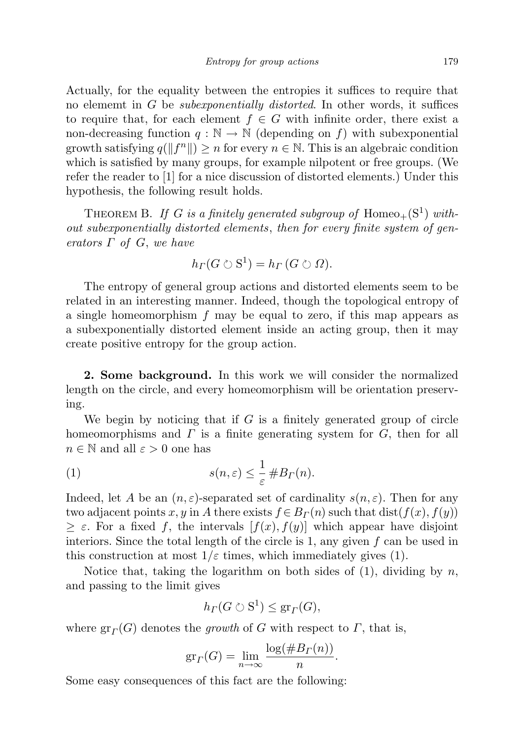Actually, for the equality between the entropies it suffices to require that no element in G be *subexponentially distorted*. In other words, it suffices to require that, for each element  $f \in G$  with infinite order, there exist a non-decreasing function  $q : \mathbb{N} \to \mathbb{N}$  (depending on f) with subexponential growth satisfying  $q(||f^n||) \geq n$  for every  $n \in \mathbb{N}$ . This is an algebraic condition which is satisfied by many groups, for example nilpotent or free groups. (We refer the reader to [1] for a nice discussion of distorted elements.) Under this hypothesis, the following result holds.

THEOREM B. If G is a finitely generated subgroup of  $Homeo_+(\mathbb{S}^1)$  without subexponentially distorted elements, then for every finite system of generators  $\Gamma$  of  $G$ , we have

$$
h_{\Gamma}(G \circlearrowright S^1) = h_{\Gamma}(G \circlearrowright \Omega).
$$

The entropy of general group actions and distorted elements seem to be related in an interesting manner. Indeed, though the topological entropy of a single homeomorphism  $f$  may be equal to zero, if this map appears as a subexponentially distorted element inside an acting group, then it may create positive entropy for the group action.

2. Some background. In this work we will consider the normalized length on the circle, and every homeomorphism will be orientation preserving.

We begin by noticing that if  $G$  is a finitely generated group of circle homeomorphisms and  $\Gamma$  is a finite generating system for  $G$ , then for all  $n \in \mathbb{N}$  and all  $\varepsilon > 0$  one has

(1) 
$$
s(n,\varepsilon) \leq \frac{1}{\varepsilon} \# B_{\Gamma}(n).
$$

Indeed, let A be an  $(n, \varepsilon)$ -separated set of cardinality  $s(n, \varepsilon)$ . Then for any two adjacent points x, y in A there exists  $f \in B<sub>\Gamma</sub>(n)$  such that dist $(f(x), f(y))$  $\geq \varepsilon$ . For a fixed f, the intervals  $[f(x), f(y)]$  which appear have disjoint interiors. Since the total length of the circle is 1, any given  $f$  can be used in this construction at most  $1/\varepsilon$  times, which immediately gives (1).

Notice that, taking the logarithm on both sides of  $(1)$ , dividing by n, and passing to the limit gives

$$
h_{\Gamma}(G \circlearrowright S^1) \leq \operatorname{gr}_{\Gamma}(G),
$$

where  $gr_T(G)$  denotes the growth of G with respect to  $\Gamma$ , that is,

$$
gr_{\Gamma}(G) = \lim_{n \to \infty} \frac{\log(\#B_{\Gamma}(n))}{n}.
$$

Some easy consequences of this fact are the following: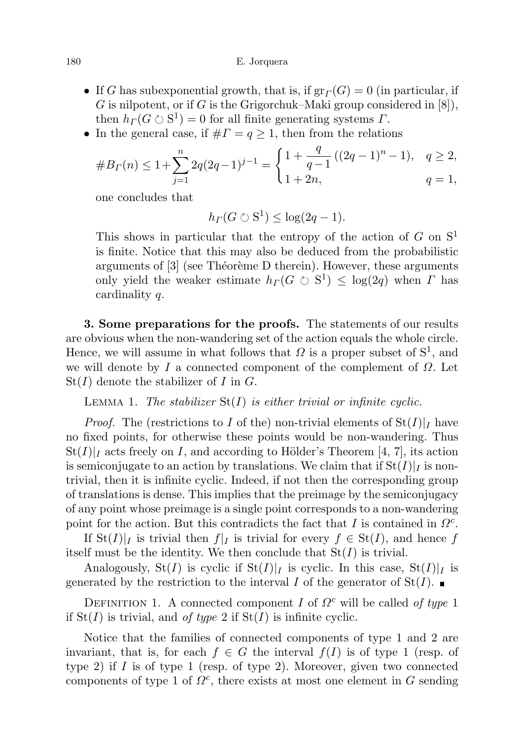180 E. Jorquera

- If G has subexponential growth, that is, if  $gr<sub>\Gamma</sub>(G) = 0$  (in particular, if G is nilpotent, or if G is the Grigorchuk–Maki group considered in  $[8]$ ), then  $h_{\Gamma}(G \circ S^1) = 0$  for all finite generating systems  $\Gamma$ .
- In the general case, if  $\# \Gamma = q \geq 1$ , then from the relations

#B<sup>Γ</sup> (n) <sup>≤</sup> 1+X<sup>n</sup> j=1 2q(2q−1)j−<sup>1</sup> = ( 1 + q q −1 ((2q − 1)<sup>n</sup> − 1), q ≥ 2, 1 + 2n, q = 1,

one concludes that

$$
h_{\Gamma}(G \circlearrowright S^1) \leq \log(2q - 1).
$$

This shows in particular that the entropy of the action of G on  $S<sup>1</sup>$ is finite. Notice that this may also be deduced from the probabilistic arguments of  $[3]$  (see Théorème D therein). However, these arguments only yield the weaker estimate  $h_{\Gamma}(G \circlearrowright S^1) \leq \log(2q)$  when  $\Gamma$  has cardinality q.

3. Some preparations for the proofs. The statements of our results are obvious when the non-wandering set of the action equals the whole circle. Hence, we will assume in what follows that  $\Omega$  is a proper subset of  $S^1$ , and we will denote by I a connected component of the complement of  $\Omega$ . Let  $St(I)$  denote the stabilizer of I in G.

## LEMMA 1. The stabilizer  $St(I)$  is either trivial or infinite cyclic.

*Proof.* The (restrictions to I of the) non-trivial elements of  $St(I)|_I$  have no fixed points, for otherwise these points would be non-wandering. Thus  $St(I)|_I$  acts freely on I, and according to Hölder's Theorem [4, 7], its action is semiconjugate to an action by translations. We claim that if  $St(I)|_I$  is nontrivial, then it is infinite cyclic. Indeed, if not then the corresponding group of translations is dense. This implies that the preimage by the semiconjugacy of any point whose preimage is a single point corresponds to a non-wandering point for the action. But this contradicts the fact that I is contained in  $\Omega^c$ .

If  $St(I)|_I$  is trivial then  $f|_I$  is trivial for every  $f \in St(I)$ , and hence f itself must be the identity. We then conclude that  $St(I)$  is trivial.

Analogously,  $St(I)$  is cyclic if  $St(I)|_I$  is cyclic. In this case,  $St(I)|_I$  is generated by the restriction to the interval I of the generator of  $St(I)$ .

DEFINITION 1. A connected component I of  $\Omega^c$  will be called of type 1 if  $St(I)$  is trivial, and of type 2 if  $St(I)$  is infinite cyclic.

Notice that the families of connected components of type 1 and 2 are invariant, that is, for each  $f \in G$  the interval  $f(I)$  is of type 1 (resp. of type 2) if  $I$  is of type 1 (resp. of type 2). Moreover, given two connected components of type 1 of  $\Omega^c$ , there exists at most one element in G sending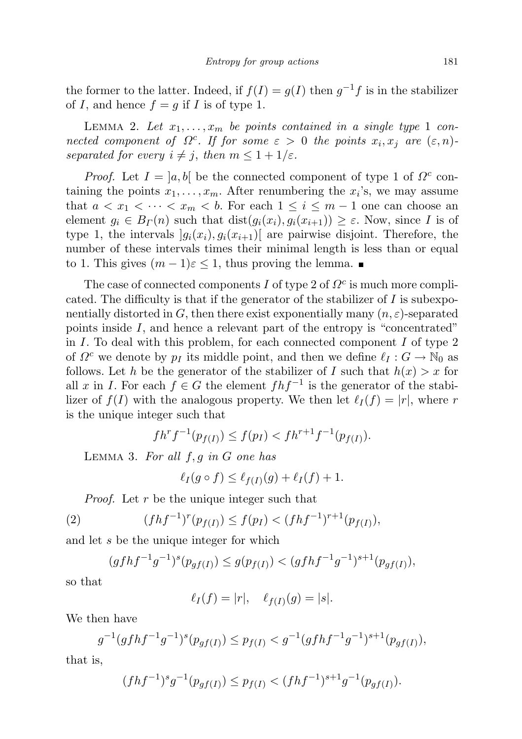the former to the latter. Indeed, if  $f(I) = g(I)$  then  $g^{-1}f$  is in the stabilizer of I, and hence  $f = g$  if I is of type 1.

LEMMA 2. Let  $x_1, \ldots, x_m$  be points contained in a single type 1 connected component of  $\Omega^c$ . If for some  $\varepsilon > 0$  the points  $x_i, x_j$  are  $(\varepsilon, n)$ . separated for every  $i \neq j$ , then  $m \leq 1 + 1/\varepsilon$ .

*Proof.* Let  $I = [a, b]$  be the connected component of type 1 of  $\Omega^c$  containing the points  $x_1, \ldots, x_m$ . After renumbering the  $x_i$ 's, we may assume that  $a < x_1 < \cdots < x_m < b$ . For each  $1 \leq i \leq m-1$  one can choose an element  $g_i \in B_{\Gamma}(n)$  such that  $dist(g_i(x_i), g_i(x_{i+1})) \geq \varepsilon$ . Now, since I is of type 1, the intervals  $|g_i(x_i), g_i(x_{i+1})|$  are pairwise disjoint. Therefore, the number of these intervals times their minimal length is less than or equal to 1. This gives  $(m-1)\varepsilon \leq 1$ , thus proving the lemma.

The case of connected components  $I$  of type 2 of  $\Omega^c$  is much more complicated. The difficulty is that if the generator of the stabilizer of I is subexponentially distorted in G, then there exist exponentially many  $(n, \varepsilon)$ -separated points inside I, and hence a relevant part of the entropy is "concentrated" in I. To deal with this problem, for each connected component I of type 2 of  $\Omega^c$  we denote by  $p_I$  its middle point, and then we define  $\ell_I : G \to \mathbb{N}_0$  as follows. Let h be the generator of the stabilizer of I such that  $h(x) > x$  for all x in I. For each  $f \in G$  the element  $f h f^{-1}$  is the generator of the stabilizer of  $f(I)$  with the analogous property. We then let  $\ell_I (f) = |r|$ , where r is the unique integer such that

$$
f h^r f^{-1}(p_{f(I)}) \le f(p_I) < f h^{r+1} f^{-1}(p_{f(I)}).
$$

LEMMA 3. For all  $f, g$  in  $G$  one has

$$
\ell_I(g \circ f) \le \ell_{f(I)}(g) + \ell_I(f) + 1.
$$

Proof. Let r be the unique integer such that

(2) 
$$
(f h f^{-1})^r (p_{f(I)}) \le f(p_I) < (f h f^{-1})^{r+1} (p_{f(I)}),
$$

and let s be the unique integer for which

$$
(gfhf^{-1}g^{-1})^s(p_{gf(I)}) \le g(p_{f(I)}) < (gfhf^{-1}g^{-1})^{s+1}(p_{gf(I)}),
$$

so that

$$
\ell_I(f) = |r|, \quad \ell_{f(I)}(g) = |s|.
$$

We then have

$$
g^{-1}(gfhf^{-1}g^{-1})^s(p_{gf(I)}) \le p_{f(I)} < g^{-1}(gfhf^{-1}g^{-1})^{s+1}(p_{gf(I)}),
$$

that is,

$$
(fhf^{-1})^s g^{-1}(p_{gf(I)}) \le p_{f(I)} < (fhf^{-1})^{s+1} g^{-1}(p_{gf(I)}).
$$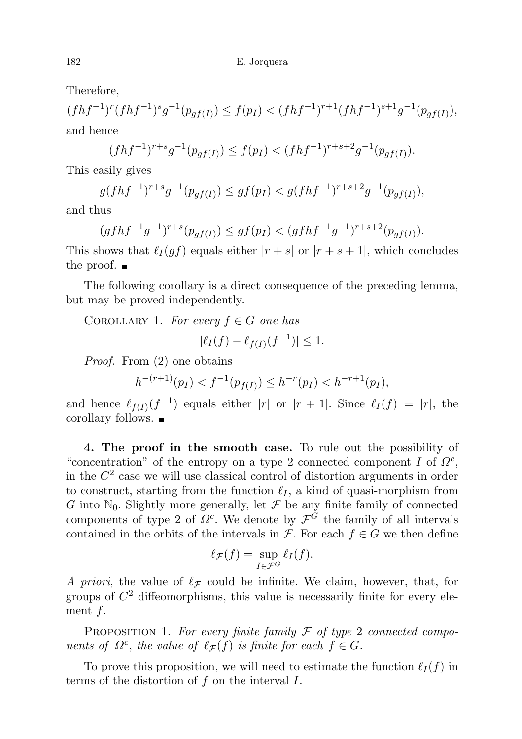Therefore,

 $(fhf^{-1})^r(fhf^{-1})^s g^{-1}(p_{gf(I)}) \leq f(p_I) < (fhf^{-1})^{r+1}(fhf^{-1})^{s+1}g^{-1}(p_{gf(I)}),$ and hence

$$
(fhf^{-1})^{r+s}g^{-1}(p_{gf(I)}) \le f(p_I) < (fhf^{-1})^{r+s+2}g^{-1}(p_{gf(I)}).
$$

This easily gives

$$
g(fhf^{-1})^{r+s}g^{-1}(p_{gf(I)}) \le gf(p_I) < g(fhf^{-1})^{r+s+2}g^{-1}(p_{gf(I)}),
$$

and thus

$$
(gfhf^{-1}g^{-1})^{r+s}(p_{gf(I)}) \le gf(p_I) < (gfhf^{-1}g^{-1})^{r+s+2}(p_{gf(I)}).
$$

This shows that  $\ell_I (gf)$  equals either  $|r + s|$  or  $|r + s + 1|$ , which concludes the proof.  $\blacksquare$ 

The following corollary is a direct consequence of the preceding lemma, but may be proved independently.

COROLLARY 1. For every  $f \in G$  one has

$$
|\ell_I(f) - \ell_{f(I)}(f^{-1})| \le 1.
$$

Proof. From (2) one obtains

$$
h^{-(r+1)}(p_I) < f^{-1}(p_{f(I)}) \le h^{-r}(p_I) < h^{-r+1}(p_I),
$$

and hence  $\ell_{f(I)}(f^{-1})$  equals either |r| or |r + 1|. Since  $\ell_I(f) = |r|$ , the corollary follows.

4. The proof in the smooth case. To rule out the possibility of "concentration" of the entropy on a type 2 connected component I of  $\Omega^c$ , in the  $C<sup>2</sup>$  case we will use classical control of distortion arguments in order to construct, starting from the function  $\ell_I$ , a kind of quasi-morphism from G into  $\mathbb{N}_0$ . Slightly more generally, let  $\mathcal F$  be any finite family of connected components of type 2 of  $\Omega^c$ . We denote by  $\mathcal{F}^G$  the family of all intervals contained in the orbits of the intervals in  $\mathcal{F}$ . For each  $f \in G$  we then define

$$
\ell_{\mathcal{F}}(f) = \sup_{I \in \mathcal{F}^G} \ell_I(f).
$$

A priori, the value of  $\ell_{\mathcal{F}}$  could be infinite. We claim, however, that, for groups of  $C<sup>2</sup>$  diffeomorphisms, this value is necessarily finite for every element  $f$ .

PROPOSITION 1. For every finite family  $\mathcal F$  of type 2 connected components of  $\Omega^c$ , the value of  $\ell_{\mathcal{F}}(f)$  is finite for each  $f \in G$ .

To prove this proposition, we will need to estimate the function  $\ell_I (f)$  in terms of the distortion of f on the interval I.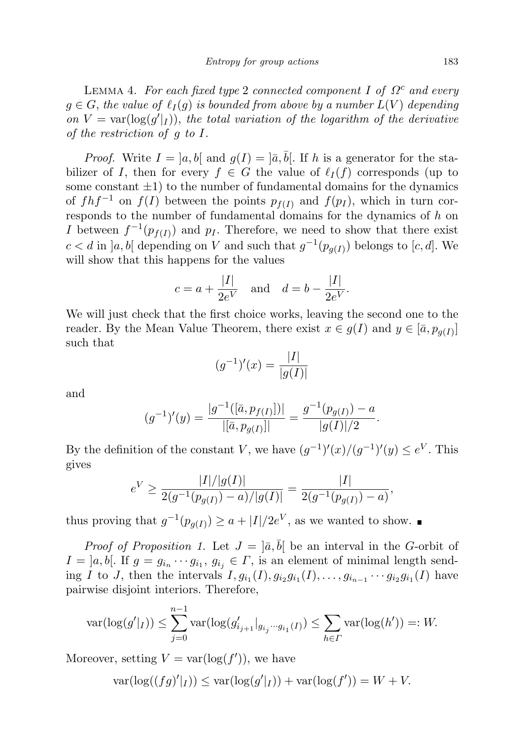LEMMA 4. For each fixed type 2 connected component I of  $\Omega^c$  and every  $g \in G$ , the value of  $\ell_I (g)$  is bounded from above by a number  $L(V)$  depending on  $V = \text{var}(\log(g'|_I))$ , the total variation of the logarithm of the derivative of the restriction of g to I.

*Proof.* Write  $I = [a, b]$  and  $g(I) = [\bar{a}, \bar{b}]$ . If h is a generator for the stabilizer of I, then for every  $f \in G$  the value of  $\ell_I (f)$  corresponds (up to some constant  $\pm 1$ ) to the number of fundamental domains for the dynamics of  $f h f^{-1}$  on  $f(I)$  between the points  $p_{f(I)}$  and  $f(p_I)$ , which in turn corresponds to the number of fundamental domains for the dynamics of h on I between  $f^{-1}(p_{f(I)})$  and  $p_I$ . Therefore, we need to show that there exist  $c < d$  in  $]a, b[$  depending on V and such that  $g^{-1}(p_{g(I)})$  belongs to  $[c, d]$ . We will show that this happens for the values

$$
c = a + \frac{|I|}{2e^V}
$$
 and  $d = b - \frac{|I|}{2e^V}$ .

We will just check that the first choice works, leaving the second one to the reader. By the Mean Value Theorem, there exist  $x \in g(I)$  and  $y \in [\bar{a}, p_{g(I)}]$ such that

$$
(g^{-1})'(x) = \frac{|I|}{|g(I)|}
$$

and

$$
(g^{-1})'(y) = \frac{|g^{-1}([\bar{a}, p_{f(I)}])|}{|[\bar{a}, p_{g(I)}]|} = \frac{g^{-1}(p_{g(I)}) - a}{|g(I)|/2}.
$$

By the definition of the constant V, we have  $(g^{-1})'(x)/(g^{-1})'(y) \leq e^V$ . This gives

$$
e^V \ge \frac{|I|/|g(I)|}{2(g^{-1}(p_{g(I)}) - a)/|g(I)|} = \frac{|I|}{2(g^{-1}(p_{g(I)}) - a)},
$$

thus proving that  $g^{-1}(p_{g(I)}) \ge a + |I|/2e^V$ , as we wanted to show.

*Proof of Proposition 1.* Let  $J = |\bar{a}, \bar{b}|$  be an interval in the G-orbit of  $I = [a, b]$ . If  $g = g_{i_n} \cdots g_{i_1}, g_{i_j} \in \Gamma$ , is an element of minimal length sending I to J, then the intervals  $I, g_{i_1}(I), g_{i_2}g_{i_1}(I), \ldots, g_{i_{n-1}} \cdots g_{i_2}g_{i_1}(I)$  have pairwise disjoint interiors. Therefore,

$$
\text{var}(\log(g'|_I)) \le \sum_{j=0}^{n-1} \text{var}(\log(g'_{i_{j+1}}|_{g_{i_j}\cdots g_{i_1}(I)}) \le \sum_{h\in I'} \text{var}(\log(h')) =: W.
$$

Moreover, setting  $V = \text{var}(\log(f'))$ , we have

$$
\text{var}(\log((fg)'|_I)) \le \text{var}(\log(g'|_I)) + \text{var}(\log(f')) = W + V.
$$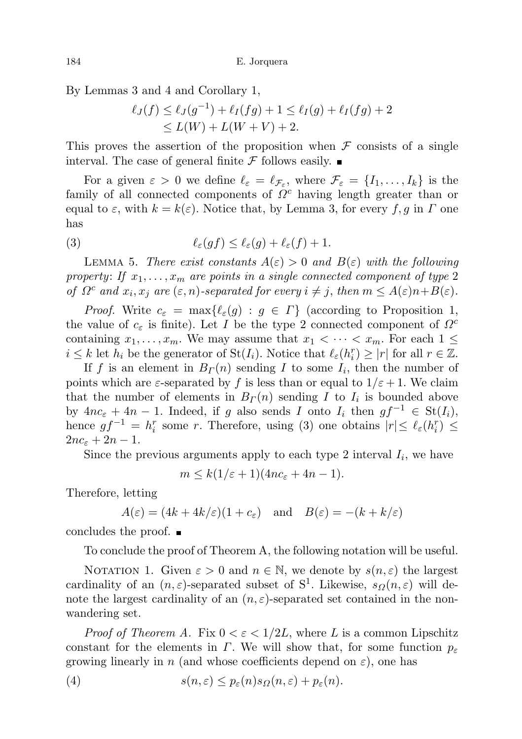By Lemmas 3 and 4 and Corollary 1,

$$
\ell_J(f) \le \ell_J(g^{-1}) + \ell_I(fg) + 1 \le \ell_I(g) + \ell_I(fg) + 2
$$
  
\n
$$
\le L(W) + L(W + V) + 2.
$$

This proves the assertion of the proposition when  $\mathcal F$  consists of a single interval. The case of general finite  $\mathcal F$  follows easily.

For a given  $\varepsilon > 0$  we define  $\ell_{\varepsilon} = \ell_{\mathcal{F}_{\varepsilon}}$ , where  $\mathcal{F}_{\varepsilon} = \{I_1, \ldots, I_k\}$  is the family of all connected components of  $\Omega^c$  having length greater than or equal to  $\varepsilon$ , with  $k = k(\varepsilon)$ . Notice that, by Lemma 3, for every f, g in  $\Gamma$  one has

(3) 
$$
\ell_{\varepsilon}(gf) \leq \ell_{\varepsilon}(g) + \ell_{\varepsilon}(f) + 1.
$$

LEMMA 5. There exist constants  $A(\varepsilon) > 0$  and  $B(\varepsilon)$  with the following property: If  $x_1, \ldots, x_m$  are points in a single connected component of type 2 of  $\Omega^c$  and  $x_i, x_j$  are  $(\varepsilon, n)$ -separated for every  $i \neq j$ , then  $m \leq A(\varepsilon)n + B(\varepsilon)$ .

*Proof.* Write  $c_{\varepsilon} = \max{\{\ell_{\varepsilon}(g) : g \in \Gamma\}}$  (according to Proposition 1, the value of  $c_{\varepsilon}$  is finite). Let I be the type 2 connected component of  $\Omega^c$ containing  $x_1, \ldots, x_m$ . We may assume that  $x_1 < \cdots < x_m$ . For each  $1 \leq$  $i \leq k$  let  $h_i$  be the generator of  $\text{St}(I_i)$ . Notice that  $\ell_{\varepsilon}(h_i^r) \geq |r|$  for all  $r \in \mathbb{Z}$ .

If f is an element in  $B_{\Gamma}(n)$  sending I to some  $I_i$ , then the number of points which are  $\varepsilon$ -separated by f is less than or equal to  $1/\varepsilon + 1$ . We claim that the number of elements in  $B_{\Gamma}(n)$  sending I to  $I_i$  is bounded above by  $4nc_{\varepsilon} + 4n - 1$ . Indeed, if g also sends I onto  $I_i$  then  $gf^{-1} \in St(I_i)$ , hence  $gf^{-1} = h_i^r$  some r. Therefore, using (3) one obtains  $|r| \leq \ell_{\varepsilon}(h_i^r) \leq$  $2nc_{\varepsilon}+2n-1$ .

Since the previous arguments apply to each type 2 interval  $I_i$ , we have

 $m \leq k(1/\varepsilon + 1)(4nc_{\varepsilon} + 4n - 1).$ 

Therefore, letting

$$
A(\varepsilon) = (4k + 4k/\varepsilon)(1 + c_{\varepsilon}) \quad \text{and} \quad B(\varepsilon) = -(k + k/\varepsilon)
$$

concludes the proof.

To conclude the proof of Theorem A, the following notation will be useful.

NOTATION 1. Given  $\varepsilon > 0$  and  $n \in \mathbb{N}$ , we denote by  $s(n, \varepsilon)$  the largest cardinality of an  $(n, \varepsilon)$ -separated subset of S<sup>1</sup>. Likewise,  $s_{\Omega}(n, \varepsilon)$  will denote the largest cardinality of an  $(n, \varepsilon)$ -separated set contained in the nonwandering set.

*Proof of Theorem A.* Fix  $0 < \varepsilon < 1/2L$ , where L is a common Lipschitz constant for the elements in  $\Gamma$ . We will show that, for some function  $p_{\varepsilon}$ growing linearly in n (and whose coefficients depend on  $\varepsilon$ ), one has

(4) 
$$
s(n,\varepsilon) \leq p_{\varepsilon}(n) s_{\Omega}(n,\varepsilon) + p_{\varepsilon}(n).
$$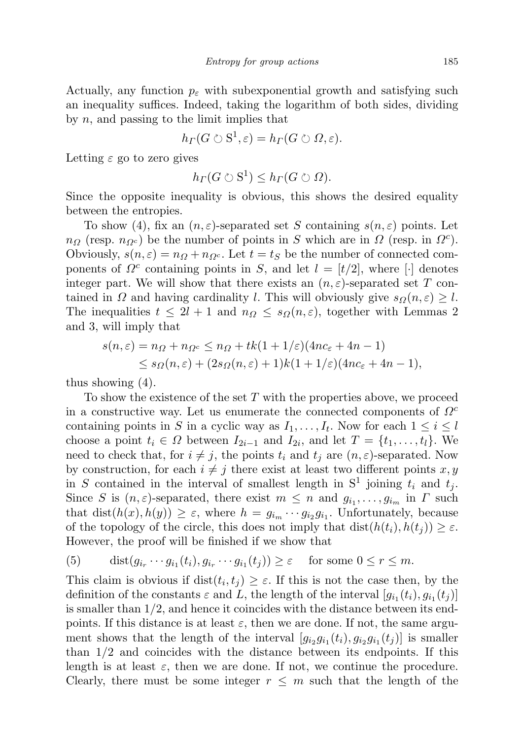Actually, any function  $p_{\varepsilon}$  with subexponential growth and satisfying such an inequality suffices. Indeed, taking the logarithm of both sides, dividing by  $n$ , and passing to the limit implies that

$$
h_{\Gamma}(G \circlearrowright S^1, \varepsilon) = h_{\Gamma}(G \circlearrowright \Omega, \varepsilon).
$$

Letting  $\varepsilon$  go to zero gives

$$
h_{\Gamma}(G \circlearrowright S^1) \leq h_{\Gamma}(G \circlearrowright \Omega).
$$

Since the opposite inequality is obvious, this shows the desired equality between the entropies.

To show (4), fix an  $(n, \varepsilon)$ -separated set S containing  $s(n, \varepsilon)$  points. Let  $n_{\Omega}$  (resp.  $n_{\Omega}c$ ) be the number of points in S which are in  $\Omega$  (resp. in  $\Omega^c$ ). Obviously,  $s(n, \varepsilon) = n\Omega + n\Omega$ . Let  $t = tS$  be the number of connected components of  $\Omega^c$  containing points in S, and let  $l = [t/2]$ , where [·] denotes integer part. We will show that there exists an  $(n, \varepsilon)$ -separated set T contained in  $\Omega$  and having cardinality l. This will obviously give  $s_{\Omega}(n, \varepsilon) \geq l$ . The inequalities  $t \leq 2l + 1$  and  $n_{\Omega} \leq s_{\Omega}(n, \varepsilon)$ , together with Lemmas 2 and 3, will imply that

$$
s(n,\varepsilon) = n_{\Omega} + n_{\Omega^c} \le n_{\Omega} + tk(1+1/\varepsilon)(4nc_{\varepsilon} + 4n - 1)
$$
  
\$\le s\_{\Omega}(n,\varepsilon) + (2s\_{\Omega}(n,\varepsilon) + 1)k(1+1/\varepsilon)(4nc\_{\varepsilon} + 4n - 1),\$

thus showing (4).

To show the existence of the set  $T$  with the properties above, we proceed in a constructive way. Let us enumerate the connected components of  $\Omega^c$ containing points in S in a cyclic way as  $I_1, \ldots, I_t$ . Now for each  $1 \leq i \leq l$ choose a point  $t_i \in \Omega$  between  $I_{2i-1}$  and  $I_{2i}$ , and let  $T = \{t_1, \ldots, t_l\}$ . We need to check that, for  $i \neq j$ , the points  $t_i$  and  $t_j$  are  $(n, \varepsilon)$ -separated. Now by construction, for each  $i \neq j$  there exist at least two different points x, y in S contained in the interval of smallest length in  $S^1$  joining  $t_i$  and  $t_j$ . Since S is  $(n, \varepsilon)$ -separated, there exist  $m \leq n$  and  $g_{i_1}, \ldots, g_{i_m}$  in  $\Gamma$  such that  $dist(h(x), h(y)) \geq \varepsilon$ , where  $h = g_{i_m} \cdots g_{i_2} g_{i_1}$ . Unfortunately, because of the topology of the circle, this does not imply that  $dist(h(t_i), h(t_i)) \geq \varepsilon$ . However, the proof will be finished if we show that

(5) 
$$
\operatorname{dist}(g_{i_r} \cdots g_{i_1}(t_i), g_{i_r} \cdots g_{i_1}(t_j)) \geq \varepsilon \quad \text{for some } 0 \leq r \leq m.
$$

This claim is obvious if  $dist(t_i, t_j) \geq \varepsilon$ . If this is not the case then, by the definition of the constants  $\varepsilon$  and L, the length of the interval  $[g_{i_1}(t_i), g_{i_1}(t_j)]$ is smaller than  $1/2$ , and hence it coincides with the distance between its endpoints. If this distance is at least  $\varepsilon$ , then we are done. If not, the same argument shows that the length of the interval  $[g_{i_2}g_{i_1}(t_i), g_{i_2}g_{i_1}(t_j)]$  is smaller than 1/2 and coincides with the distance between its endpoints. If this length is at least  $\varepsilon$ , then we are done. If not, we continue the procedure. Clearly, there must be some integer  $r \leq m$  such that the length of the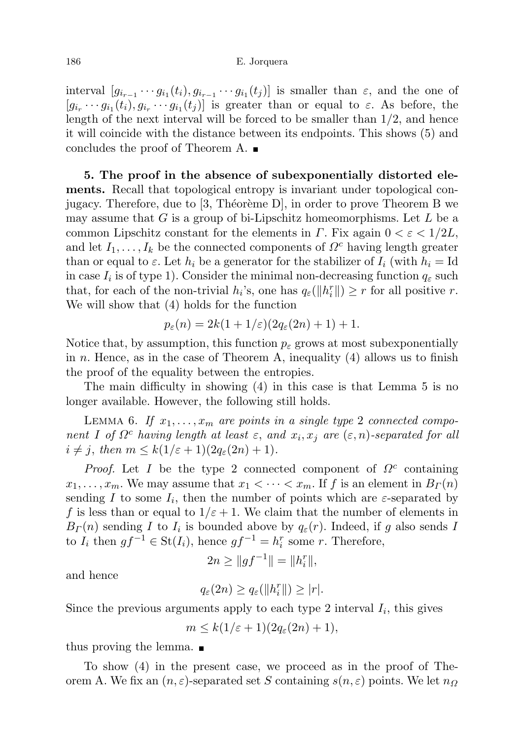### 186 E. Jorquera

interval  $[g_{i_{r-1}} \cdots g_{i_1}(t_i), g_{i_{r-1}} \cdots g_{i_1}(t_j)]$  is smaller than  $\varepsilon$ , and the one of  $[g_{i_r} \cdots g_{i_1}(t_i), g_{i_r} \cdots g_{i_1}(t_j)]$  is greater than or equal to  $\varepsilon$ . As before, the length of the next interval will be forced to be smaller than 1/2, and hence it will coincide with the distance between its endpoints. This shows (5) and concludes the proof of Theorem A.  $\blacksquare$ 

5. The proof in the absence of subexponentially distorted elements. Recall that topological entropy is invariant under topological conjugacy. Therefore, due to  $[3,$  Théorème D, in order to prove Theorem B we may assume that  $G$  is a group of bi-Lipschitz homeomorphisms. Let  $L$  be a common Lipschitz constant for the elements in  $\Gamma$ . Fix again  $0 < \varepsilon < 1/2L$ , and let  $I_1, \ldots, I_k$  be the connected components of  $\Omega^c$  having length greater than or equal to  $\varepsilon$ . Let  $h_i$  be a generator for the stabilizer of  $I_i$  (with  $h_i = Id$ in case  $I_i$  is of type 1). Consider the minimal non-decreasing function  $q_{\varepsilon}$  such that, for each of the non-trivial  $h_i$ 's, one has  $q_{\varepsilon}(\Vert h_i^r \Vert) \geq r$  for all positive r. We will show that (4) holds for the function

$$
p_{\varepsilon}(n) = 2k(1 + 1/\varepsilon)(2q_{\varepsilon}(2n) + 1) + 1.
$$

Notice that, by assumption, this function  $p_{\varepsilon}$  grows at most subexponentially in n. Hence, as in the case of Theorem A, inequality  $(4)$  allows us to finish the proof of the equality between the entropies.

The main difficulty in showing (4) in this case is that Lemma 5 is no longer available. However, the following still holds.

LEMMA 6. If  $x_1, \ldots, x_m$  are points in a single type 2 connected component I of  $\Omega^c$  having length at least  $\varepsilon$ , and  $x_i, x_j$  are  $(\varepsilon, n)$ -separated for all  $i \neq j$ , then  $m \leq k(1/\varepsilon + 1)(2q_{\varepsilon}(2n) + 1)$ .

Proof. Let I be the type 2 connected component of  $\Omega^c$  containing  $x_1, \ldots, x_m$ . We may assume that  $x_1 < \cdots < x_m$ . If f is an element in  $B_r(n)$ sending I to some  $I_i$ , then the number of points which are  $\varepsilon$ -separated by f is less than or equal to  $1/\varepsilon + 1$ . We claim that the number of elements in  $B_{\Gamma}(n)$  sending I to  $I_i$  is bounded above by  $q_{\varepsilon}(r)$ . Indeed, if g also sends I to  $I_i$  then  $gf^{-1} \in \text{St}(I_i)$ , hence  $gf^{-1} = h_i^r$  some r. Therefore,

$$
2n \ge ||gf^{-1}|| = ||h_i^r||,
$$

and hence

$$
q_{\varepsilon}(2n) \ge q_{\varepsilon}(\|h_i^r\|) \ge |r|.
$$

Since the previous arguments apply to each type 2 interval  $I_i$ , this gives

$$
m \leq k(1/\varepsilon + 1)(2q_{\varepsilon}(2n) + 1),
$$

thus proving the lemma.

To show (4) in the present case, we proceed as in the proof of Theorem A. We fix an  $(n, \varepsilon)$ -separated set S containing  $s(n, \varepsilon)$  points. We let  $n_{\Omega}$